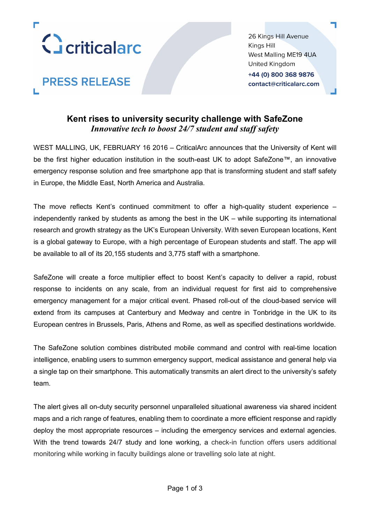

**PRESS RELEASE** 

26 Kings Hill Avenue Kings Hill West Malling ME19 4UA United Kingdom +44 (0) 800 368 9876 contact@criticalarc.com

# **Kent rises to university security challenge with SafeZone** *Innovative tech to boost 24/7 student and staff safety*

WEST MALLING, UK, FEBRUARY 16 2016 – CriticalArc announces that the University of Kent will be the first higher education institution in the south-east UK to adopt SafeZone™, an innovative emergency response solution and free smartphone app that is transforming student and staff safety in Europe, the Middle East, North America and Australia.

The move reflects Kent's continued commitment to offer a high-quality student experience – independently ranked by students as among the best in the UK – while supporting its international research and growth strategy as the UK's European University. With seven European locations, Kent is a global gateway to Europe, with a high percentage of European students and staff. The app will be available to all of its 20,155 students and 3,775 staff with a smartphone.

SafeZone will create a force multiplier effect to boost Kent's capacity to deliver a rapid, robust response to incidents on any scale, from an individual request for first aid to comprehensive emergency management for a major critical event. Phased roll-out of the cloud-based service will extend from its campuses at Canterbury and Medway and centre in Tonbridge in the UK to its European centres in Brussels, Paris, Athens and Rome, as well as specified destinations worldwide.

The SafeZone solution combines distributed mobile command and control with real-time location intelligence, enabling users to summon emergency support, medical assistance and general help via a single tap on their smartphone. This automatically transmits an alert direct to the university's safety team.

The alert gives all on-duty security personnel unparalleled situational awareness via shared incident maps and a rich range of features, enabling them to coordinate a more efficient response and rapidly deploy the most appropriate resources – including the emergency services and external agencies. With the trend towards 24/7 study and lone working, a check-in function offers users additional monitoring while working in faculty buildings alone or travelling solo late at night.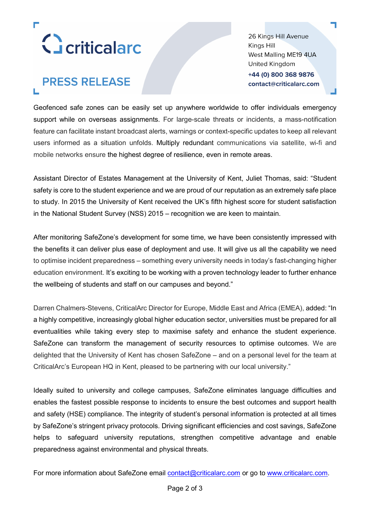

# **PRESS RELEASE**

26 Kings Hill Avenue Kings Hill West Malling ME19 4UA United Kingdom +44 (0) 800 368 9876 contact@criticalarc.com

Geofenced safe zones can be easily set up anywhere worldwide to offer individuals emergency support while on overseas assignments. For large-scale threats or incidents, a mass-notification feature can facilitate instant broadcast alerts, warnings or context-specific updates to keep all relevant users informed as a situation unfolds. Multiply redundant communications via satellite, wi-fi and mobile networks ensure the highest degree of resilience, even in remote areas.

Assistant Director of Estates Management at the University of Kent, Juliet Thomas, said: "Student safety is core to the student experience and we are proud of our reputation as an extremely safe place to study. In 2015 the University of Kent received the UK's fifth highest score for student satisfaction in the National Student Survey (NSS) 2015 – recognition we are keen to maintain.

After monitoring SafeZone's development for some time, we have been consistently impressed with the benefits it can deliver plus ease of deployment and use. It will give us all the capability we need to optimise incident preparedness – something every university needs in today's fast-changing higher education environment. It's exciting to be working with a proven technology leader to further enhance the wellbeing of students and staff on our campuses and beyond."

Darren Chalmers-Stevens, CriticalArc Director for Europe, Middle East and Africa (EMEA), added: "In a highly competitive, increasingly global higher education sector, universities must be prepared for all eventualities while taking every step to maximise safety and enhance the student experience. SafeZone can transform the management of security resources to optimise outcomes. We are delighted that the University of Kent has chosen SafeZone – and on a personal level for the team at CriticalArc's European HQ in Kent, pleased to be partnering with our local university."

Ideally suited to university and college campuses, SafeZone eliminates language difficulties and enables the fastest possible response to incidents to ensure the best outcomes and support health and safety (HSE) compliance. The integrity of student's personal information is protected at all times by SafeZone's stringent privacy protocols. Driving significant efficiencies and cost savings, SafeZone helps to safeguard university reputations, strengthen competitive advantage and enable preparedness against environmental and physical threats.

For more information about SafeZone email [contact@criticalarc.com](mailto:contact@criticalarc.com) or go to [www.criticalarc.com.](http://www.criticalarc.com/)